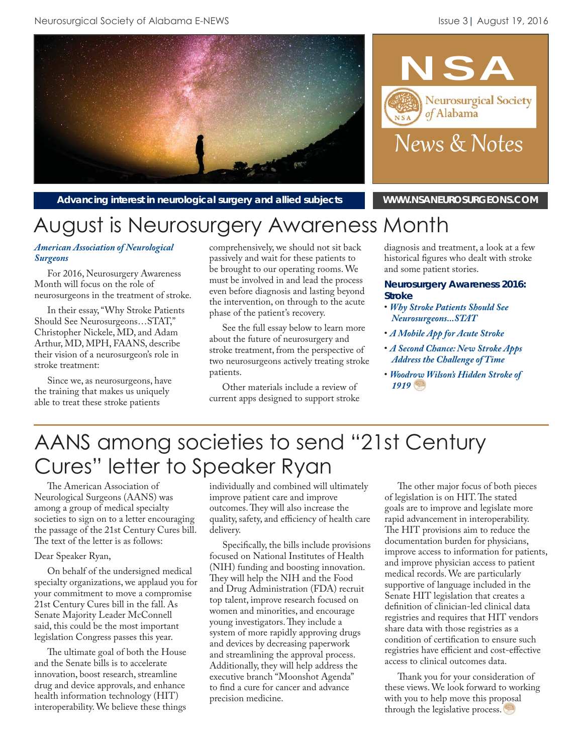

News & Notes

of Alabama

**NSA** 

Neurosurgical Society

Advancing interest in neurological surgery and allied subjects **WWW.NSANEUROSURGEONS.COM** 

# August is Neurosurgery Awareness Month

#### *[American Association of Neurological](http://www.aans.org/en/Patient%20Information/Neurosurgery%20Outreach%20Month.aspx)  Surgeons*

For 2016, Neurosurgery Awareness Month will focus on the role of neurosurgeons in the treatment of stroke.

In their essay, "Why Stroke Patients Should See Neurosurgeons…STAT," Christopher Nickele, MD, and Adam Arthur, MD, MPH, FAANS, describe their vision of a neurosurgeon's role in stroke treatment:

Since we, as neurosurgeons, have the training that makes us uniquely able to treat these stroke patients

comprehensively, we should not sit back passively and wait for these patients to be brought to our operating rooms. We must be involved in and lead the process even before diagnosis and lasting beyond the intervention, on through to the acute phase of the patient's recovery.

See the full essay below to learn more about the future of neurosurgery and stroke treatment, from the perspective of two neurosurgeons actively treating stroke patients.

Other materials include a review of current apps designed to support stroke diagnosis and treatment, a look at a few historical figures who dealt with stroke and some patient stories.

#### **Neurosurgery Awareness 2016: Stroke**

- *[Why Stroke Patients Should See](http://www.aans.org/Annual/2016/pdfs/NAW/Why%20Stroke%20Patients%20Should%20See%20Neurosurgeons...STAT.pdf) Neurosurgeons...STAT*
- *[A Mobile App for Acute Stroke](http://www.aans.org/Annual/2016/pdfs/NAW/A%20Mobile%20App%20for%20Acute%20Stroke.pdf)*
- *[A Second Chance: New Stroke Apps](http://www.aans.org/Annual/2016/pdfs/NAW/A%20Second%20Chance%20-%20New%20Stoke%20Apps%20Address%20the%20Challenge%20of%20Time.pdf) Address the Challenge of Time*
- *[Woodrow Wilson's Hidden Stroke of](http://www.aans.org/Annual/2016/pdfs/NAW/Woodrow%20Wilson) 1919*

# AANS among societies to send "21st Century Cures" letter to Speaker Ryan

The American Association of Neurological Surgeons (AANS) was among a group of medical specialty societies to sign on to a letter encouraging the passage of the 21st Century Cures bill. The text of the letter is as follows:

#### Dear Speaker Ryan,

On behalf of the undersigned medical specialty organizations, we applaud you for your commitment to move a compromise 21st Century Cures bill in the fall. As Senate Majority Leader McConnell said, this could be the most important legislation Congress passes this year.

The ultimate goal of both the House and the Senate bills is to accelerate innovation, boost research, streamline drug and device approvals, and enhance health information technology (HIT) interoperability. We believe these things

individually and combined will ultimately improve patient care and improve outcomes. They will also increase the quality, safety, and efficiency of health care delivery.

Specifically, the bills include provisions focused on National Institutes of Health (NIH) funding and boosting innovation. They will help the NIH and the Food and Drug Administration (FDA) recruit top talent, improve research focused on women and minorities, and encourage young investigators. They include a system of more rapidly approving drugs and devices by decreasing paperwork and streamlining the approval process. Additionally, they will help address the executive branch "Moonshot Agenda" to find a cure for cancer and advance precision medicine.

The other major focus of both pieces of legislation is on HIT. The stated goals are to improve and legislate more rapid advancement in interoperability. The HIT provisions aim to reduce the documentation burden for physicians, improve access to information for patients, and improve physician access to patient medical records. We are particularly supportive of language included in the Senate HIT legislation that creates a definition of clinician-led clinical data registries and requires that HIT vendors share data with those registries as a condition of certification to ensure such registries have efficient and cost-effective access to clinical outcomes data.

Thank you for your consideration of these views. We look forward to working with you to help move this proposal through the legislative process.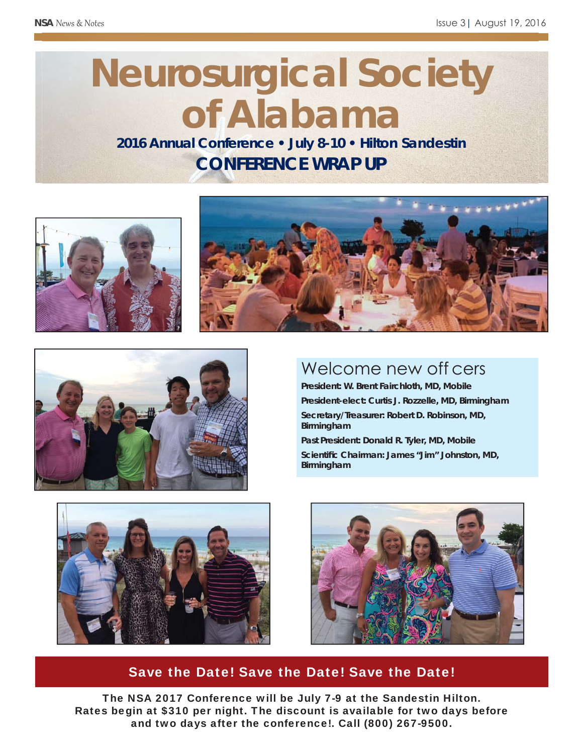# **Neurosurgical Society of Alabama**

**2016 Annual Conference • July 8-10 • Hilton Sandestin CONFERENCE WRAP UP**







## Welcome new off cers

**President: W. Brent Fairchloth, MD, Mobile President-elect: Curtis J. Rozzelle, MD, Birmingham Secretary/Treasurer: Robert D. Robinson, MD, Birmingham**

**Past President: Donald R. Tyler, MD, Mobile Scientifi c Chairman: James "Jim" Johnston, MD, Birmingham**





## Save the Date! Save the Date! Save the Date!

The NSA 2017 Conference will be July 7-9 at the Sandestin Hilton. Rates begin at \$310 per night. The discount is available for two days before and two days after the conference!. Call (800) 267-9500.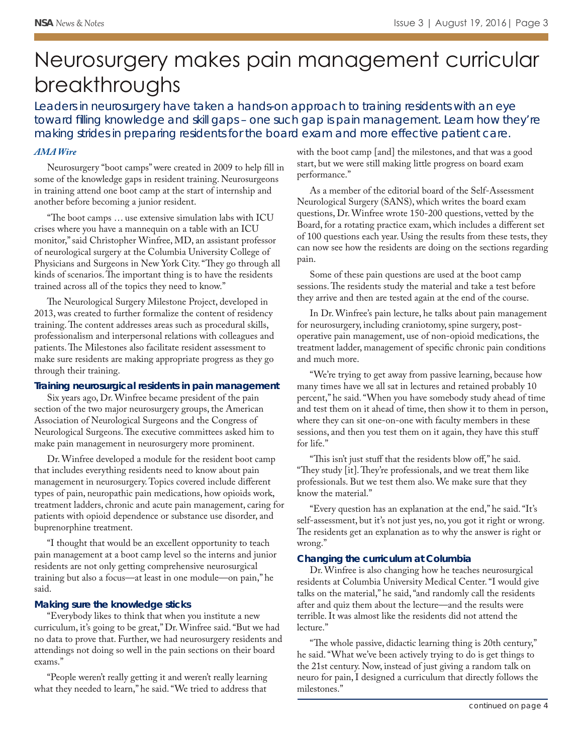# Neurosurgery makes pain management curricular breakthroughs

Leaders in neurosurgery have taken a hands-on approach to training residents with an eye toward filling knowledge and skill gaps - one such gap is pain management. Learn how they're *making strides in preparing residents for the board exam and more effective patient care.*

#### *[AMA Wire](http://www.ama-assn.org/ama/ama-wire/post/neurosurgery-pain-management-curricular-breakthroughs)*

Neurosurgery "boot camps" were created in 2009 to help fill in some of the knowledge gaps in resident training. Neurosurgeons in training attend one boot camp at the start of internship and another before becoming a junior resident.

"The boot camps ... use extensive simulation labs with ICU crises where you have a mannequin on a table with an ICU monitor," said Christopher Winfree, MD, an assistant professor of neurological surgery at the Columbia University College of Physicians and Surgeons in New York City. "They go through all kinds of scenarios. The important thing is to have the residents trained across all of the topics they need to know."

The Neurological Surgery Milestone Project, developed in 2013, was created to further formalize the content of residency training. The content addresses areas such as procedural skills, professionalism and interpersonal relations with colleagues and patients. The Milestones also facilitate resident assessment to make sure residents are making appropriate progress as they go through their training.

#### **Training neurosurgical residents in pain management**

Six years ago, Dr. Winfree became president of the pain section of the two major neurosurgery groups, the American Association of Neurological Surgeons and the Congress of Neurological Surgeons. The executive committees asked him to make pain management in neurosurgery more prominent.

Dr. Winfree developed a module for the resident boot camp that includes everything residents need to know about pain management in neurosurgery. Topics covered include different types of pain, neuropathic pain medications, how opioids work, treatment ladders, chronic and acute pain management, caring for patients with opioid dependence or substance use disorder, and buprenorphine treatment.

"I thought that would be an excellent opportunity to teach pain management at a boot camp level so the interns and junior residents are not only getting comprehensive neurosurgical training but also a focus—at least in one module—on pain," he said.

#### **Making sure the knowledge sticks**

"Everybody likes to think that when you institute a new curriculum, it's going to be great," Dr. Winfree said. "But we had no data to prove that. Further, we had neurosurgery residents and attendings not doing so well in the pain sections on their board exams."

"People weren't really getting it and weren't really learning what they needed to learn," he said. "We tried to address that

with the boot camp [and] the milestones, and that was a good start, but we were still making little progress on board exam performance."

As a member of the editorial board of the Self-Assessment Neurological Surgery (SANS), which writes the board exam questions, Dr. Winfree wrote 150-200 questions, vetted by the Board, for a rotating practice exam, which includes a different set of 100 questions each year. Using the results from these tests, they can now see how the residents are doing on the sections regarding pain.

Some of these pain questions are used at the boot camp sessions. The residents study the material and take a test before they arrive and then are tested again at the end of the course.

In Dr. Winfree's pain lecture, he talks about pain management for neurosurgery, including craniotomy, spine surgery, postoperative pain management, use of non-opioid medications, the treatment ladder, management of specific chronic pain conditions and much more.

"We're trying to get away from passive learning, because how many times have we all sat in lectures and retained probably 10 percent," he said. "When you have somebody study ahead of time and test them on it ahead of time, then show it to them in person, where they can sit one-on-one with faculty members in these sessions, and then you test them on it again, they have this stuff for life."

"This isn't just stuff that the residents blow off," he said. "They study [it]. They're professionals, and we treat them like professionals. But we test them also. We make sure that they know the material."

"Every question has an explanation at the end," he said. "It's self-assessment, but it's not just yes, no, you got it right or wrong. The residents get an explanation as to why the answer is right or wrong."

#### **Changing the curriculum at Columbia**

Dr. Winfree is also changing how he teaches neurosurgical residents at Columbia University Medical Center. "I would give talks on the material," he said, "and randomly call the residents after and quiz them about the lecture—and the results were terrible. It was almost like the residents did not attend the lecture."

"The whole passive, didactic learning thing is 20th century," he said. "What we've been actively trying to do is get things to the 21st century. Now, instead of just giving a random talk on neuro for pain, I designed a curriculum that directly follows the milestones."